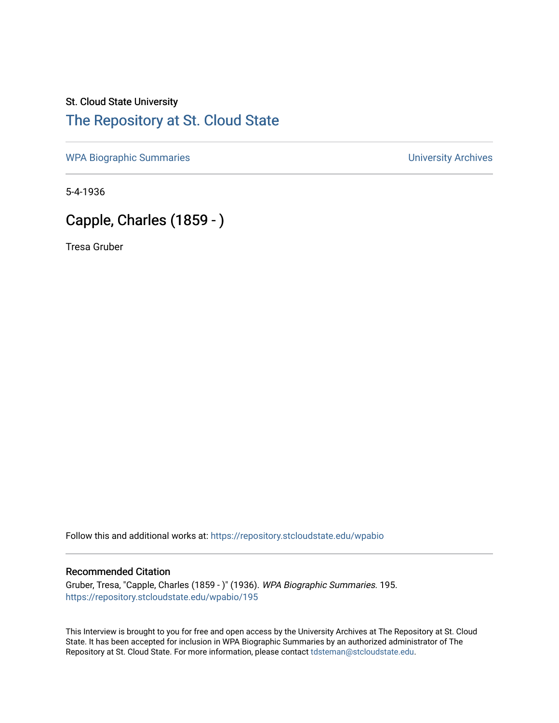# St. Cloud State University

## [The Repository at St. Cloud State](https://repository.stcloudstate.edu/)

[WPA Biographic Summaries](https://repository.stcloudstate.edu/wpabio) **WPA Biographic Summaries University Archives** 

5-4-1936

## Capple, Charles (1859 - )

Tresa Gruber

Follow this and additional works at: [https://repository.stcloudstate.edu/wpabio](https://repository.stcloudstate.edu/wpabio?utm_source=repository.stcloudstate.edu%2Fwpabio%2F195&utm_medium=PDF&utm_campaign=PDFCoverPages) 

#### Recommended Citation

Gruber, Tresa, "Capple, Charles (1859 - )" (1936). WPA Biographic Summaries. 195. [https://repository.stcloudstate.edu/wpabio/195](https://repository.stcloudstate.edu/wpabio/195?utm_source=repository.stcloudstate.edu%2Fwpabio%2F195&utm_medium=PDF&utm_campaign=PDFCoverPages) 

This Interview is brought to you for free and open access by the University Archives at The Repository at St. Cloud State. It has been accepted for inclusion in WPA Biographic Summaries by an authorized administrator of The Repository at St. Cloud State. For more information, please contact [tdsteman@stcloudstate.edu.](mailto:tdsteman@stcloudstate.edu)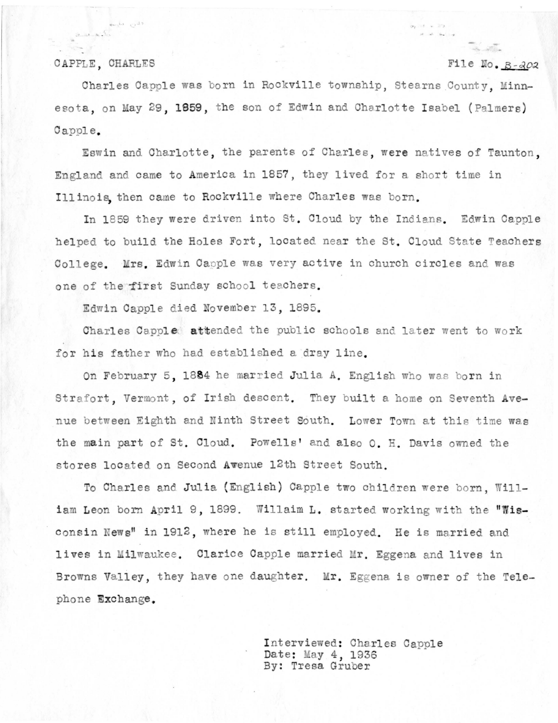#### CAPPLE, CHARLES

 $2.11 - 8.5$ 

هسراء وبالم

#### File No. B-202

 $\sigma_2 \rightarrow e^- = 2\sigma_2$  .

 $\label{eq:3.1} \mu = \mu_0 - \mu_0 \quad , \quad \mu_0 = \mu_0$ 

Charles Capple was born in Rockville township, Stearns County, Minnesota, on May 29, 1859, the son of Edwin and Charlotte Isabel (Palmers) Capple.

Eswin and Charlotte, the parents of Charles, were natives of Taunton, England and came to America in 1857, they lived for a short time in Illinois then came to Rockville where Charles was born.

In 1859 they were driven into St. Cloud by the Indians. Edwin Capple helped to build the Holes Fort, located near the St. Cloud State Teachers College. Mrs. Edwin Capple was very active in church circles and was one of the first Sunday school teachers.

Edwin Capple died November 13, 1895.

Charles Capple attended the public schools and later went to work for his father who had established a dray line.

On February 5, 1884 he married Julia A. English who was born in Strafort. Vermont, of Irish descent. They built a home on Seventh Avenue between Eighth and Ninth Street South. Lower Town at this time was the main part of St. Cloud. Powells' and also O. H. Davis owned the stores located on Second Awenue 12th Street South.

To Charles and Julia (English) Capple two children were born. William Leon born April 9, 1899. Willaim L. started working with the "Wisconsin News" in 1912, where he is still employed. He is married and lives in Milwaukee. Clarice Capple married Mr. Eggena and lives in Browns Valley, they have one daughter. Mr. Eggena is owner of the Telephone Exchange.

> Interviewed: Charles Capple Date: May 4, 1936 By: Tresa Gruber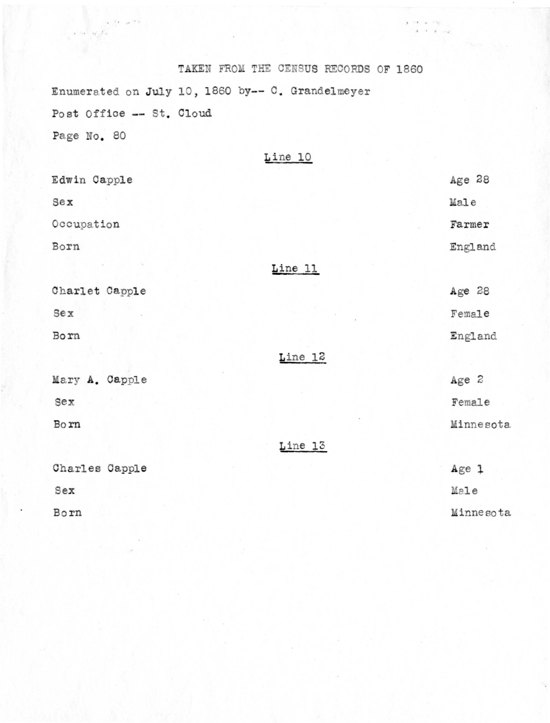TAKEN FROM THE CENSUS RECORDS OF 1860 Enumerated on July 10, 1860 by-- C. Grandelmeyer Post Office -- St. Cloud Page No. 80

 $\alpha = 1/\epsilon$  , and  $\alpha = \epsilon$ 

 $\mathcal{M}_{\mathcal{M}}$ 

|  | Line | 10 |  |
|--|------|----|--|
|  |      |    |  |
|  |      |    |  |

 $\begin{array}{cccccc} \mathbf{y} & \mathrm{out} & \mathbf{a} & \mathrm{in} & \mathbf{y} & \ldots \\ & \mathbf{y} & \mathrm{out} & \mathbf{a} & \mathrm{in} & \mathbf{y} & \ldots \\ & \mathbf{y} & \mathrm{in} & \mathbf{a} & \mathbf{y} & \ldots \end{array}$ 

| Edwin Capple   |         | Age 28    |
|----------------|---------|-----------|
| $5$            |         | Male      |
| Occupation     |         | Farmer    |
| Born           |         | England   |
|                | Line 11 |           |
| Charlet Capple |         | Age 28    |
| Sex            |         | Female    |
| Born           |         | England   |
|                | Line 12 |           |
| Mary A. Capple |         | Age 2     |
| sex            |         | Female    |
| Born           |         | Minnesota |
|                | Line 13 |           |
| Charles Capple |         | Age 1     |
| Sex            |         | Male      |
| Born           |         | Minnesota |
|                |         |           |